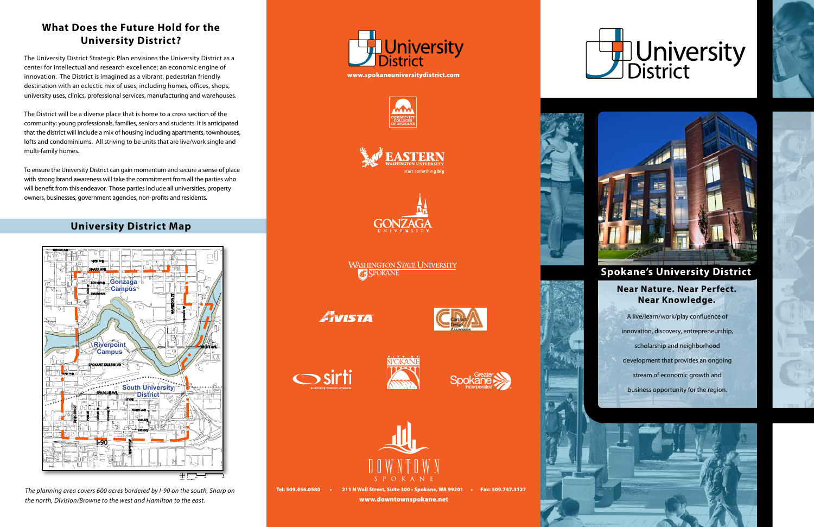*The planning area covers 600 acres bordered by I-90 on the south, Sharp on the north, Division/Browne to the west and Hamilton to the east.*



A live/learn/work/play confluence of innovation, discovery, entrepreneurship, scholarship and neighborhood development that provides an ongoing stream of economic growth and business opportunity for the region.







# **Spokane's University District**

## **What Does the Future Hold for the University District?**

The University District Strategic Plan envisions the University District as a center for intellectual and research excellence; an economic engine of innovation. The District is imagined as a vibrant, pedestrian friendly destination with an eclectic mix of uses, including homes, offices, shops, university uses, clinics, professional services, manufacturing and warehouses.

The District will be a diverse place that is home to a cross section of the community: young professionals, families, seniors and students. It is anticipated that the district will include a mix of housing including apartments, townhouses, lofts and condominiums. All striving to be units that are live/work single and multi-family homes.

To ensure the University District can gain momentum and secure a sense of place with strong brand awareness will take the commitment from all the parties who will benefit from this endeavor. Those parties include all universities, property owners, businesses, government agencies, non-profits and residents.

#### **Near Nature. Near Perfect. Near Knowledge.**

## **University District Map**

Tel: 509.456.0580 • 211 N Wall Street, Suite 300 • Spokane, WA 99201 • Fax: 509.747.3127 www.downtownspokane.net



# **J**University



U















**WASHINGTON STATE UNIVERSITY SPOKANE** 

AVISTA